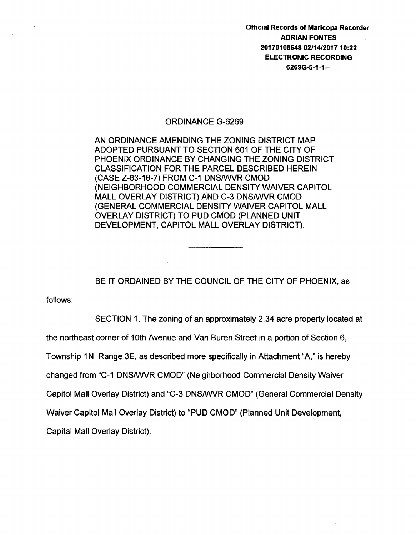Official Records of Maricopa Recorder ADRIAN FONTES 20170108648 02/14/201710:22 ELECTRONIC RECORDING 6269G-5-1-1-

## ORDINANCE G-6269

AN ORDINANCE AMENDING THE ZONING DISTRICT MAP ADOPTED PURSUANT TO SECTION 601 OF THE CITY OF PHOENIX ORDINANCE BY CHANGING THE ZONING DISTRICT CLASSIFICATION FOR THE PARCEL DESCRIBED HEREIN (CASE Z-63-16-7) FROM C-1 DNSIWVR CMOD (NEIGHBORHOOD COMMERCIAL DENSITY WAIVER CAPITOL MALL OVERLAY DISTRICT) AND C-3 DNSIWVR CMOD (GENERAL COMMERCIAL DENSITY WAIVER CAPITOL MALL OVERLAY DISTRICT) TO PUD CMOD (PLANNED UNIT DEVELOPMENT, CAPITOL MALL OVERLAY DISTRICT).

BE IT ORDAINED BY THE COUNCIL OF THE CITY OF PHOENIX, as

follows:

SECTION 1. The zoning of an approximately 2.34 acre property located at

the northeast corner of 1Oth Avenue and Van Buren Street in a portion of Section 6,

Township 1N, Range 3E, as described more specifically in Attachment "A," is hereby

changed from "C-1 DNSIWVR CMOD" (Neighborhood Commercial Density Waiver

Capitol Mall Overlay District) and "C-3 DNSIWVR CMOD" (General Commercial Density

Waiver Capitol Mall Overlay District) to "PUD CMOD" (Planned Unit Development,

Capital Mall Overlay District).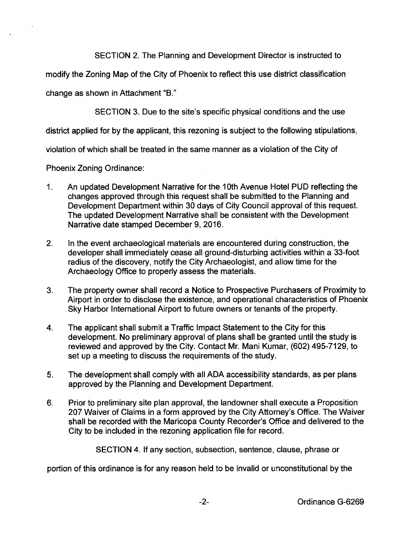SECTION 2. The Planning and Development Director is instructed to

modify the Zoning Map of the City of Phoenix to reflect this use district classification

change as shown in Attachment "B."

SECTION 3. Due to the site's specific physical conditions and the use

district applied for by the applicant, this rezoning is subject to the following stipulations,

violation of which shall be treated in the same manner as a violation of the City of

Phoenix Zoning Ordinance:

- 1. An updated Development Narrative for the 1Oth Avenue Hotel PUD reflecting the changes approved through this request shall be submitted to the Planning and Development Department within 30 days of City Council approval of this request. The updated Development Narrative shall be consistent with the Development Narrative date stamped December 9, 2016.
- 2. In the event archaeological materials are encountered during construction, the developer shall immediately cease all ground-disturbing activities within a 33-foot radius of the discovery, notify the City Archaeologist, and allow time for the Archaeology Office to properly assess the materials.
- 3. The property owner shall record a Notice to Prospective Purchasers of Proximity to Airport in order to disclose the existence, and operational characteristics of Phoenix Sky Harbor International Airport to future owners or tenants of the property.
- 4. The applicant shall submit a Traffic Impact Statement to the City for this development. No preliminary approval of plans shall be granted until the study is reviewed and approved by the City. Contact Mr. Mani Kumar, (602) 495-7129, to set up a meeting to discuss the requirements of the study.
- 5. The development shall comply with all ADA accessibility standards, as per plans approved by the Planning and Development Department.
- 6. Prior to preliminary site plan approval, the landowner shall execute a Proposition 207 Waiver of Claims in a form approved by the City Attorney's Office. The Waiver shall be recorded with the Maricopa County Recorder's Office and delivered to the City to be included in the rezoning application file for record.

SECTION 4. If any section, subsection, sentence, clause, phrase or

portion of this ordinance is for any reason held to be invalid or unconstitutional by the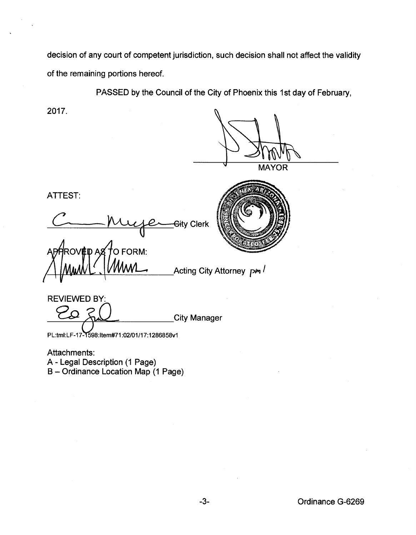decision of any court of competent jurisdiction, such decision shall not affect the validity of the remaining portions hereof.

PASSED by the Council of the City of Phoenix this 1st day of February,

/ Acting City Attorney Am

2017.

**MAYOR** 

ATTEST:

Gity Clerk

O FORM:



REVIEWED BY: EVIEWED BY:<br> $20 8$  City Manager

PL:tml:LF-17-1598:Item#71:02/01/17:1286858v1

Attachments: A - Legal Description (1 Page) B- Ordinance Location Map (1 Page)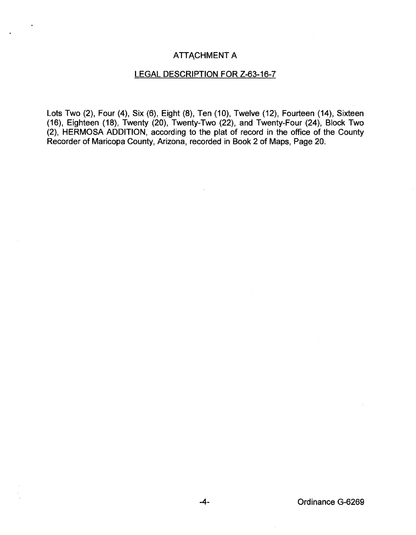## ATTACHMENT A

## LEGAL DESCRIPTION FOR Z-63-16-7

Lots Two (2), Four (4), Six (6), Eight (8), Ten (10), Twelve (12), Fourteen (14), Sixteen (16), Eighteen (18), Twenty (20), Twenty-Two (22), and Twenty-Four (24), Block Two (2), HERMOSA ADDITION, according to the plat of record in the office of the County Recorder of Maricopa County, Arizona, recorded in Book 2 of Maps, Page 20.